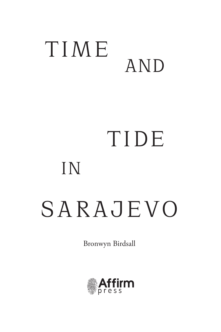## T I M E AND

# TIDE IN SARAJEVO

Bronwyn Birdsall

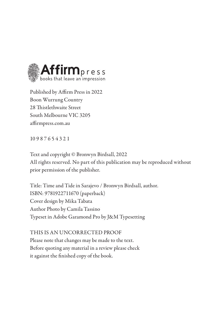

Published by Affirm Press in 2022 Boon Wurrung Country 28 Thistlethwaite Street South Melbourne VIC 3205 affirmpress.com.au

10 9 8 7 6 5 4 3 2 1

Text and copyright © Bronwyn Birdsall, 2022 All rights reserved. No part of this publication may be reproduced without prior permission of the publisher.

Title: Time and Tide in Sarajevo / Bronwyn Birdsall, author. ISBN: 9781922711670 (paperback) Cover design by Mika Tabata Author Photo by Camila Tassino Typeset in Adobe Garamond Pro by J&M Typesetting

THIS IS AN UNCORRECTED PROOF Please note that changes may be made to the text. Before quoting any material in a review please check it against the finished copy of the book.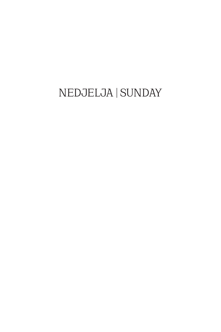### NEDJELJA | SUNDAY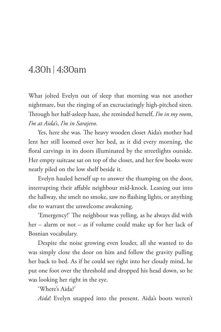#### 4.30h | 4:30am

What jolted Evelyn out of sleep that morning was not another nightmare, but the ringing of an excruciatingly high-pitched siren. Through her half-asleep haze, she reminded herself, *I'm in my room*, *I'm at Aida's*, *I'm in Sarajevo*.

Yes, here she was. The heavy wooden closet Aida's mother had lent her still loomed over her bed, as it did every morning, the floral carvings in its doors illuminated by the streetlights outside. Her empty suitcase sat on top of the closet, and her few books were neatly piled on the low shelf beside it.

Evelyn hauled herself up to answer the thumping on the door, interrupting their affable neighbour mid-knock. Leaning out into the hallway, she smelt no smoke, saw no flashing lights, or anything else to warrant the unwelcome awakening.

'Emergency!' The neighbour was yelling, as he always did with her – alarm or not – as if volume could make up for her lack of Bosnian vocabulary.

Despite the noise growing even louder, all she wanted to do was simply close the door on him and follow the gravity pulling her back to bed. As if he could see right into her cloudy mind, he put one foot over the threshold and dropped his head down, so he was looking her right in the eye.

'Where's Aida?'

*Aida*! Evelyn snapped into the present. Aida's boots weren't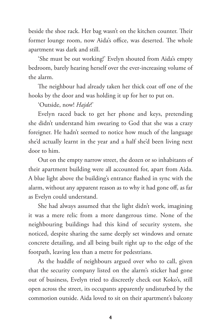beside the shoe rack. Her bag wasn't on the kitchen counter. Their former lounge room, now Aida's office, was deserted. The whole apartment was dark and still.

'She must be out working!' Evelyn shouted from Aida's empty bedroom, barely hearing herself over the ever-increasing volume of the alarm.

The neighbour had already taken her thick coat off one of the hooks by the door and was holding it up for her to put on.

#### 'Outside, now! *Hajde*!'

Evelyn raced back to get her phone and keys, pretending she didn't understand him swearing to God that she was a crazy foreigner. He hadn't seemed to notice how much of the language she'd actually learnt in the year and a half she'd been living next door to him.

Out on the empty narrow street, the dozen or so inhabitants of their apartment building were all accounted for, apart from Aida. A blue light above the building's entrance flashed in sync with the alarm, without any apparent reason as to why it had gone off, as far as Evelyn could understand.

She had always assumed that the light didn't work, imagining it was a mere relic from a more dangerous time. None of the neighbouring buildings had this kind of security system, she noticed, despite sharing the same deeply set windows and ornate concrete detailing, and all being built right up to the edge of the footpath, leaving less than a metre for pedestrians.

As the huddle of neighbours argued over who to call, given that the security company listed on the alarm's sticker had gone out of business, Evelyn tried to discreetly check out Koko's, still open across the street, its occupants apparently undisturbed by the commotion outside. Aida loved to sit on their apartment's balcony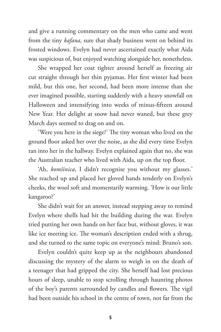and give a running commentary on the men who came and went from the tiny *kafana*, sure that shady business went on behind its frosted windows. Evelyn had never ascertained exactly what Aida was suspicious of, but enjoyed watching alongside her, nonetheless.

She wrapped her coat tighter around herself as freezing air cut straight through her thin pyjamas. Her first winter had been mild, but this one, her second, had been more intense than she ever imagined possible, starting suddenly with a heavy snowfall on Halloween and intensifying into weeks of minus-fifteen around New Year. Her delight at snow had never waned, but these grey March days seemed to drag on and on.

'Were you here in the siege?' The tiny woman who lived on the ground floor asked her over the noise, as she did every time Evelyn ran into her in the hallway. Evelyn explained again that no, she was the Australian teacher who lived with Aida, up on the top floor.

'Ah, *komšinica*, I didn't recognise you without my glasses.' She reached up and placed her gloved hands tenderly on Evelyn's cheeks, the wool soft and momentarily warming. 'How is our little kangaroo?'

She didn't wait for an answer, instead stepping away to remind Evelyn where shells had hit the building during the war. Evelyn tried putting her own hands on her face but, without gloves, it was like ice meeting ice. The woman's description ended with a shrug, and she turned to the same topic on everyone's mind: Bruno's son.

Evelyn couldn't quite keep up as the neighbours abandoned discussing the mystery of the alarm to weigh in on the death of a teenager that had gripped the city. She herself had lost precious hours of sleep, unable to stop scrolling through haunting photos of the boy's parents surrounded by candles and flowers. The vigil had been outside his school in the centre of town, not far from the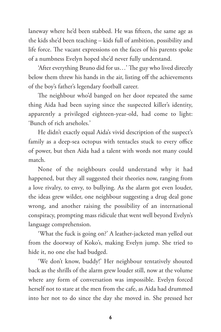laneway where he'd been stabbed. He was fifteen, the same age as the kids she'd been teaching – kids full of ambition, possibility and life force. The vacant expressions on the faces of his parents spoke of a numbness Evelyn hoped she'd never fully understand.

'After everything Bruno did for us…' The guy who lived directly below them threw his hands in the air, listing off the achievements of the boy's father's legendary football career.

The neighbour who'd banged on her door repeated the same thing Aida had been saying since the suspected killer's identity, apparently a privileged eighteen-year-old, had come to light: 'Bunch of rich arseholes.'

He didn't exactly equal Aida's vivid description of the suspect's family as a deep-sea octopus with tentacles stuck to every office of power, but then Aida had a talent with words not many could match.

None of the neighbours could understand why it had happened, but they all suggested their theories now, ranging from a love rivalry, to envy, to bullying. As the alarm got even louder, the ideas grew wilder, one neighbour suggesting a drug deal gone wrong, and another raising the possibility of an international conspiracy, prompting mass ridicule that went well beyond Evelyn's language comprehension.

'What the fuck is going on?' A leather-jacketed man yelled out from the doorway of Koko's, making Evelyn jump. She tried to hide it, no one else had budged.

'We don't know, buddy!' Her neighbour tentatively shouted back as the shrills of the alarm grew louder still, now at the volume where any form of conversation was impossible. Evelyn forced herself not to stare at the men from the cafe, as Aida had drummed into her not to do since the day she moved in. She pressed her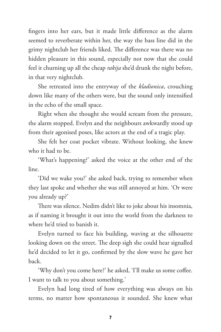fingers into her ears, but it made little difference as the alarm seemed to reverberate within her, the way the bass line did in the grimy nightclub her friends liked. The difference was there was no hidden pleasure in this sound, especially not now that she could feel it churning up all the cheap *rakija* she'd drunk the night before, in that very nightclub.

She retreated into the entryway of the *kladionica*, crouching down like many of the others were, but the sound only intensified in the echo of the small space.

Right when she thought she would scream from the pressure, the alarm stopped. Evelyn and the neighbours awkwardly stood up from their agonised poses, like actors at the end of a tragic play.

She felt her coat pocket vibrate. Without looking, she knew who it had to be.

'What's happening?' asked the voice at the other end of the line.

'Did we wake you?' she asked back, trying to remember when they last spoke and whether she was still annoyed at him. 'Or were you already up?'

There was silence. Nedim didn't like to joke about his insomnia, as if naming it brought it out into the world from the darkness to where he'd tried to banish it.

Evelyn turned to face his building, waving at the silhouette looking down on the street. The deep sigh she could hear signalled he'd decided to let it go, confirmed by the slow wave he gave her back.

'Why don't you come here?' he asked, 'I'll make us some coffee. I want to talk to you about something.'

Evelyn had long tired of how everything was always on his terms, no matter how spontaneous it sounded. She knew what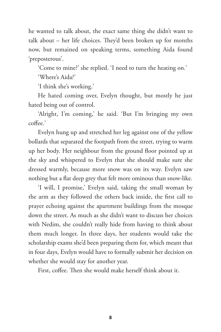he wanted to talk about, the exact same thing she didn't want to talk about – her life choices. They'd been broken up for months now, but remained on speaking terms, something Aida found 'preposterous'.

'Come to mine?' she replied. 'I need to turn the heating on.'

'Where's Aida?'

'I think she's working.'

He hated coming over, Evelyn thought, but mostly he just hated being out of control.

'Alright, I'm coming,' he said. 'But I'm bringing my own coffee.'

Evelyn hung up and stretched her leg against one of the yellow bollards that separated the footpath from the street, trying to warm up her body. Her neighbour from the ground floor pointed up at the sky and whispered to Evelyn that she should make sure she dressed warmly, because more snow was on its way. Evelyn saw nothing but a flat deep grey that felt more ominous than snow-like.

'I will, I promise,' Evelyn said, taking the small woman by the arm as they followed the others back inside, the first call to prayer echoing against the apartment buildings from the mosque down the street. As much as she didn't want to discuss her choices with Nedim, she couldn't really hide from having to think about them much longer. In three days, her students would take the scholarship exams she'd been preparing them for, which meant that in four days, Evelyn would have to formally submit her decision on whether she would stay for another year.

First, coffee. Then she would make herself think about it.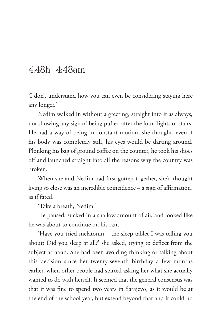#### 4.48h | 4:48am

'I don't understand how you can even be considering staying here any longer.'

Nedim walked in without a greeting, straight into it as always, not showing any sign of being puffed after the four flights of stairs. He had a way of being in constant motion, she thought, even if his body was completely still, his eyes would be darting around. Plonking his bag of ground coffee on the counter, he took his shoes off and launched straight into all the reasons why the country was broken.

When she and Nedim had first gotten together, she'd thought living so close was an incredible coincidence – a sign of affirmation, as if fated.

'Take a breath, Nedim.'

He paused, sucked in a shallow amount of air, and looked like he was about to continue on his rant.

'Have you tried melatonin – the sleep tablet I was telling you about? Did you sleep at all?' she asked, trying to deflect from the subject at hand. She had been avoiding thinking or talking about this decision since her twenty-seventh birthday a few months earlier, when other people had started asking her what she actually wanted to do with herself. It seemed that the general consensus was that it was fine to spend two years in Sarajevo, as it would be at the end of the school year, but extend beyond that and it could no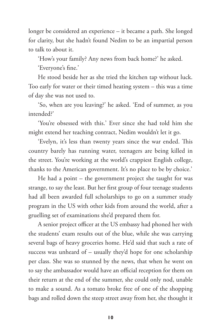longer be considered an experience – it became a path. She longed for clarity, but she hadn't found Nedim to be an impartial person to talk to about it.

'How's your family? Any news from back home?' he asked.

'Everyone's fine.'

He stood beside her as she tried the kitchen tap without luck. Too early for water or their timed heating system – this was a time of day she was not used to.

'So, when are you leaving?' he asked. 'End of summer, as you intended?'

'You're obsessed with this.' Ever since she had told him she might extend her teaching contract, Nedim wouldn't let it go.

'Evelyn, it's less than twenty years since the war ended. This country barely has running water, teenagers are being killed in the street. You're working at the world's crappiest English college, thanks to the American government. It's no place to be by choice.'

He had a point – the government project she taught for was strange, to say the least. But her first group of four teenage students had all been awarded full scholarships to go on a summer study program in the US with other kids from around the world, after a gruelling set of examinations she'd prepared them for.

A senior project officer at the US embassy had phoned her with the students' exam results out of the blue, while she was carrying several bags of heavy groceries home. He'd said that such a rate of success was unheard of – usually they'd hope for one scholarship per class. She was so stunned by the news, that when he went on to say the ambassador would have an official reception for them on their return at the end of the summer, she could only nod, unable to make a sound. As a tomato broke free of one of the shopping bags and rolled down the steep street away from her, she thought it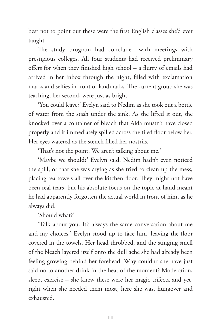best not to point out these were the first English classes she'd ever taught.

The study program had concluded with meetings with prestigious colleges. All four students had received preliminary offers for when they finished high school – a flurry of emails had arrived in her inbox through the night, filled with exclamation marks and selfies in front of landmarks. The current group she was teaching, her second, were just as bright.

'You could leave?' Evelyn said to Nedim as she took out a bottle of water from the stash under the sink. As she lifted it out, she knocked over a container of bleach that Aida mustn't have closed properly and it immediately spilled across the tiled floor below her. Her eyes watered as the stench filled her nostrils.

'That's not the point. We aren't talking about me.'

'Maybe we should?' Evelyn said. Nedim hadn't even noticed the spill, or that she was crying as she tried to clean up the mess, placing tea towels all over the kitchen floor. They might not have been real tears, but his absolute focus on the topic at hand meant he had apparently forgotten the actual world in front of him, as he always did.

'Should what?'

'Talk about you. It's always the same conversation about me and my choices.' Evelyn stood up to face him, leaving the floor covered in the towels. Her head throbbed, and the stinging smell of the bleach layered itself onto the dull ache she had already been feeling growing behind her forehead. Why couldn't she have just said no to another drink in the heat of the moment? Moderation, sleep, exercise – she knew these were her magic trifecta and yet, right when she needed them most, here she was, hungover and exhausted.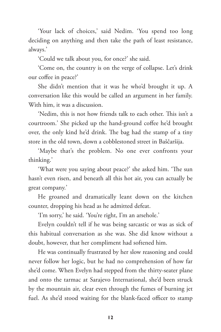'Your lack of choices,' said Nedim. 'You spend too long deciding on anything and then take the path of least resistance, always.'

'Could we talk about you, for once?' she said.

'Come on, the country is on the verge of collapse. Let's drink our coffee in peace?'

She didn't mention that it was he who'd brought it up. A conversation like this would be called an argument in her family. With him, it was a discussion.

'Nedim, this is not how friends talk to each other. This isn't a courtroom.' She picked up the hand-ground coffee he'd brought over, the only kind he'd drink. The bag had the stamp of a tiny store in the old town, down a cobblestoned street in Baščaršija.

'Maybe that's the problem. No one ever confronts your thinking.'

'What were you saying about peace?' she asked him. 'The sun hasn't even risen, and beneath all this hot air, you can actually be great company.'

He groaned and dramatically leant down on the kitchen counter, dropping his head as he admitted defeat.

'I'm sorry,' he said. 'You're right, I'm an arsehole.'

Evelyn couldn't tell if he was being sarcastic or was as sick of this habitual conversation as she was. She did know without a doubt, however, that her compliment had softened him.

He was continually frustrated by her slow reasoning and could never follow her logic, but he had no comprehension of how far she'd come. When Evelyn had stepped from the thirty-seater plane and onto the tarmac at Sarajevo International, she'd been struck by the mountain air, clear even through the fumes of burning jet fuel. As she'd stood waiting for the blank-faced officer to stamp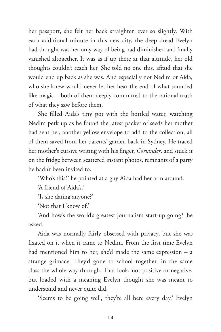her passport, she felt her back straighten ever so slightly. With each additional minute in this new city, the deep dread Evelyn had thought was her only way of being had diminished and finally vanished altogether. It was as if up there at that altitude, her old thoughts couldn't reach her. She told no one this, afraid that she would end up back as she was. And especially not Nedim or Aida, who she knew would never let her hear the end of what sounded like magic – both of them deeply committed to the rational truth of what they saw before them.

She filled Aida's tiny pot with the bottled water, watching Nedim perk up as he found the latest packet of seeds her mother had sent her, another yellow envelope to add to the collection, all of them saved from her parents' garden back in Sydney. He traced her mother's cursive writing with his finger, *Coriander*, and stuck it on the fridge between scattered instant photos, remnants of a party he hadn't been invited to.

'Who's this?' he pointed at a guy Aida had her arm around.

'A friend of Aida's.'

'Is she dating anyone?'

'Not that I know of.'

'And how's the world's greatest journalism start-up going?' he asked.

Aida was normally fairly obsessed with privacy, but she was fixated on it when it came to Nedim. From the first time Evelyn had mentioned him to her, she'd made the same expression – a strange grimace. They'd gone to school together, in the same class the whole way through. That look, not positive or negative, but loaded with a meaning Evelyn thought she was meant to understand and never quite did.

'Seems to be going well, they're all here every day,' Evelyn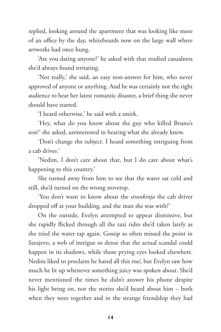replied, looking around the apartment that was looking like more of an office by the day, whiteboards now on the large wall where artworks had once hung.

'Are you dating anyone?' he asked with that studied casualness she'd always found irritating.

'Not really,' she said, an easy non-answer for him, who never approved of anyone or anything. And he was certainly not the right audience to hear her latest romantic disaster, a brief thing she never should have started.

'I heard otherwise,' he said with a smirk.

'Hey, what do you know about the guy who killed Bruno's son?' she asked, uninterested in hearing what she already knew.

'Don't change the subject. I heard something intriguing from a cab driver.'

'Nedim, I don't care about that, but I do care about what's happening to this country.'

She turned away from him to see that the water sat cold and still, she'd turned on the wrong stovetop.

'You don't want to know about the *strankinja* the cab driver dropped off at your building, and the man she was with?'

On the outside, Evelyn attempted to appear dismissive, but she rapidly flicked through all the taxi rides she'd taken lately as she tried the water tap again. Gossip so often missed the point in Sarajevo, a web of intrigue so dense that the actual scandal could happen in its shadows, while those prying eyes looked elsewhere. Nedim liked to proclaim he hated all this *trač*, but Evelyn saw how much he lit up whenever something juicy was spoken about. She'd never mentioned the times he didn't answer his phone despite his light being on, nor the stories she'd heard about him – both when they were together and in the strange friendship they had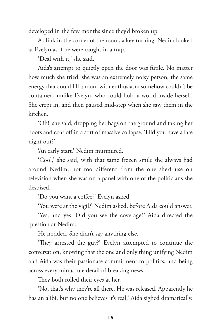developed in the few months since they'd broken up.

A clink in the corner of the room, a key turning. Nedim looked at Evelyn as if he were caught in a trap.

'Deal with it,' she said.

Aida's attempt to quietly open the door was futile. No matter how much she tried, she was an extremely noisy person, the same energy that could fill a room with enthusiasm somehow couldn't be contained, unlike Evelyn, who could hold a world inside herself. She crept in, and then paused mid-step when she saw them in the kitchen.

'Oh!' she said, dropping her bags on the ground and taking her boots and coat off in a sort of massive collapse. 'Did you have a late night out?'

'An early start,' Nedim murmured.

'Cool,' she said, with that same frozen smile she always had around Nedim, not too different from the one she'd use on television when she was on a panel with one of the politicians she despised.

'Do you want a coffee?' Evelyn asked.

'You were at the vigil?' Nedim asked, before Aida could answer.

'Yes, and yes. Did you see the coverage?' Aida directed the question at Nedim.

He nodded. She didn't say anything else.

'They arrested the guy?' Evelyn attempted to continue the conversation, knowing that the one and only thing unifying Nedim and Aida was their passionate commitment to politics, and being across every minuscule detail of breaking news.

They both rolled their eyes at her.

'No, that's why they're all there. He was released. Apparently he has an alibi, but no one believes it's real,' Aida sighed dramatically.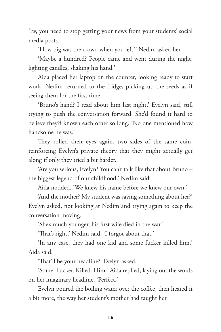'Ev, you need to stop getting your news from your students' social media posts.'

'How big was the crowd when you left?' Nedim asked her.

'Maybe a hundred? People came and went during the night, lighting candles, shaking his hand.'

Aida placed her laptop on the counter, looking ready to start work. Nedim returned to the fridge, picking up the seeds as if seeing them for the first time.

'Bruno's hand? I read about him last night,' Evelyn said, still trying to push the conversation forward. She'd found it hard to believe they'd known each other so long. 'No one mentioned how handsome he was.'

They rolled their eyes again, two sides of the same coin, reinforcing Evelyn's private theory that they might actually get along if only they tried a bit harder.

'Are you serious, Evelyn? You can't talk like that about Bruno – the biggest legend of our childhood,' Nedim said.

Aida nodded. 'We knew his name before we knew our own.'

'And the mother? My student was saying something about her?' Evelyn asked, not looking at Nedim and trying again to keep the conversation moving.

'She's much younger, his first wife died in the war.'

'That's right,' Nedim said. 'I forgot about that.'

'In any case, they had one kid and some fucker killed him.' Aida said.

'That'll be your headline?' Evelyn asked.

'Some. Fucker. Killed. Him.' Aida replied, laying out the words on her imaginary headline. 'Perfect.'

Evelyn poured the boiling water over the coffee, then heated it a bit more, the way her student's mother had taught her.